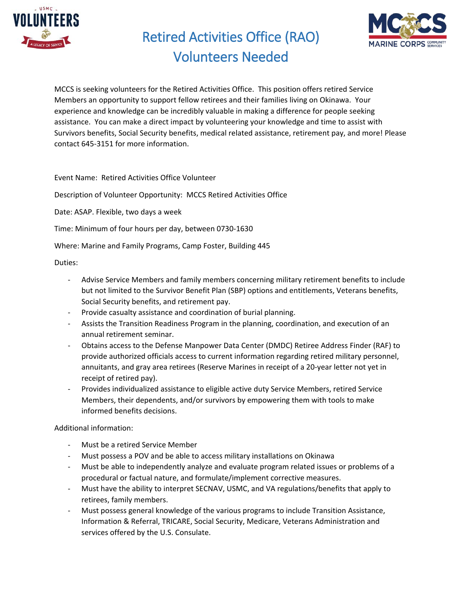

Retired Activities Office (RAO)



## Volunteers Needed

MCCS is seeking volunteers for the Retired Activities Office. This position offers retired Service Members an opportunity to support fellow retirees and their families living on Okinawa. Your experience and knowledge can be incredibly valuable in making a difference for people seeking assistance. You can make a direct impact by volunteering your knowledge and time to assist with Survivors benefits, Social Security benefits, medical related assistance, retirement pay, and more! Please contact 645-3151 for more information.

Event Name: Retired Activities Office Volunteer

Description of Volunteer Opportunity: MCCS Retired Activities Office

Date: ASAP. Flexible, two days a week

Time: Minimum of four hours per day, between 0730-1630

Where: Marine and Family Programs, Camp Foster, Building 445

Duties:

- Advise Service Members and family members concerning military retirement benefits to include but not limited to the Survivor Benefit Plan (SBP) options and entitlements, Veterans benefits, Social Security benefits, and retirement pay.
- Provide casualty assistance and coordination of burial planning.
- Assists the Transition Readiness Program in the planning, coordination, and execution of an annual retirement seminar.
- Obtains access to the Defense Manpower Data Center (DMDC) Retiree Address Finder (RAF) to provide authorized officials access to current information regarding retired military personnel, annuitants, and gray area retirees (Reserve Marines in receipt of a 20-year letter not yet in receipt of retired pay).
- Provides individualized assistance to eligible active duty Service Members, retired Service Members, their dependents, and/or survivors by empowering them with tools to make informed benefits decisions.

Additional information:

- Must be a retired Service Member
- Must possess a POV and be able to access military installations on Okinawa
- Must be able to independently analyze and evaluate program related issues or problems of a procedural or factual nature, and formulate/implement corrective measures.
- Must have the ability to interpret SECNAV, USMC, and VA regulations/benefits that apply to retirees, family members.
- Must possess general knowledge of the various programs to include Transition Assistance, Information & Referral, TRICARE, Social Security, Medicare, Veterans Administration and services offered by the U.S. Consulate.